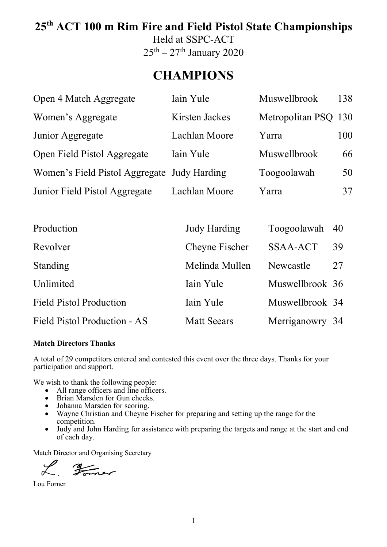# **25th ACT 100 m Rim Fire and Field Pistol State Championships**

Held at SSPC-ACT  $25<sup>th</sup> - 27<sup>th</sup>$  January 2020

### **CHAMPIONS**

| Open 4 Match Aggregate                      | Iain Yule      | <b>Muswellbrook</b>  | 138 |
|---------------------------------------------|----------------|----------------------|-----|
| Women's Aggregate                           | Kirsten Jackes | Metropolitan PSQ 130 |     |
| Junior Aggregate                            | Lachlan Moore  | Yarra                | 100 |
| Open Field Pistol Aggregate                 | Iain Yule      | <b>Muswellbrook</b>  | 66  |
| Women's Field Pistol Aggregate Judy Harding |                | Toogoolawah          | 50  |
| Junior Field Pistol Aggregate               | Lachlan Moore  | Yarra                | 37  |

| Production                     | <b>Judy Harding</b> | Toogoolawah 40  |    |
|--------------------------------|---------------------|-----------------|----|
| Revolver                       | Cheyne Fischer      | <b>SSAA-ACT</b> | 39 |
| Standing                       | Melinda Mullen      | Newcastle       | 27 |
| Unlimited                      | Iain Yule           | Muswellbrook 36 |    |
| <b>Field Pistol Production</b> | Iain Yule           | Muswellbrook 34 |    |
| Field Pistol Production - AS   | <b>Matt Seears</b>  | Merriganowry 34 |    |

#### **Match Directors Thanks**

A total of 29 competitors entered and contested this event over the three days. Thanks for your participation and support.

We wish to thank the following people:

- All range officers and line officers.
- Brian Marsden for Gun checks.
- Johanna Marsden for scoring.
- Wayne Christian and Cheyne Fischer for preparing and setting up the range for the competition.
- Judy and John Harding for assistance with preparing the targets and range at the start and end of each day.

Match Director and Organising Secretary

 $rac{4}{2}$ 

Lou Forner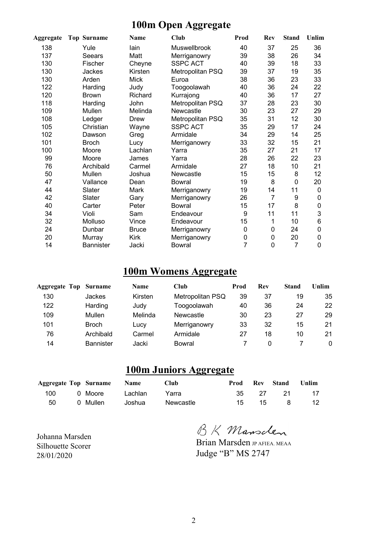### **100m Open Aggregate**

| Aggregate | <b>Top Surname</b> | Name         | Club             | Prod        | Rev            | <b>Stand</b>   | Unlim |
|-----------|--------------------|--------------|------------------|-------------|----------------|----------------|-------|
| 138       | Yule               | lain         | Muswellbrook     | 40          | 37             | 25             | 36    |
| 137       | Seears             | Matt         | Merriganowry     | 39          | 38             | 26             | 34    |
| 130       | Fischer            | Cheyne       | <b>SSPC ACT</b>  | 40          | 39             | 18             | 33    |
| 130       | Jackes             | Kirsten      | Metropolitan PSQ | 39          | 37             | 19             | 35    |
| 130       | Arden              | <b>Mick</b>  | Euroa            | 38          | 36             | 23             | 33    |
| 122       | Harding            | Judy         | Toogoolawah      | 40          | 36             | 24             | 22    |
| 120       | <b>Brown</b>       | Richard      | Kurrajong        | 40          | 36             | 17             | 27    |
| 118       | Harding            | John         | Metropolitan PSQ | 37          | 28             | 23             | 30    |
| 109       | Mullen             | Melinda      | Newcastle        | 30          | 23             | 27             | 29    |
| 108       | Ledger             | Drew         | Metropolitan PSQ | 35          | 31             | 12             | 30    |
| 105       | Christian          | Wayne        | <b>SSPC ACT</b>  | 35          | 29             | 17             | 24    |
| 102       | Dawson             | Greg         | Armidale         | 34          | 29             | 14             | 25    |
| 101       | <b>Broch</b>       | Lucy         | Merriganowry     | 33          | 32             | 15             | 21    |
| 100       | Moore              | Lachlan      | Yarra            | 35          | 27             | 21             | 17    |
| 99        | Moore              | James        | Yarra            | 28          | 26             | 22             | 23    |
| 76        | Archibald          | Carmel       | Armidale         | 27          | 18             | 10             | 21    |
| 50        | Mullen             | Joshua       | Newcastle        | 15          | 15             | 8              | 12    |
| 47        | Vallance           | Dean         | Bowral           | 19          | 8              | $\mathbf 0$    | 20    |
| 44        | Slater             | Mark         | Merriganowry     | 19          | 14             | 11             | 0     |
| 42        | Slater             | Gary         | Merriganowry     | 26          | $\overline{7}$ | 9              | 0     |
| 40        | Carter             | Peter        | <b>Bowral</b>    | 15          | 17             | 8              | 0     |
| 34        | Violi              | Sam          | Endeavour        | 9           | 11             | 11             | 3     |
| 32        | Molluso            | Vince        | Endeavour        | 15          | 1              | 10             | 6     |
| 24        | Dunbar             | <b>Bruce</b> | Merriganowry     | $\pmb{0}$   | $\mathbf 0$    | 24             | 0     |
| 20        | Murray             | <b>Kirk</b>  | Merriganowry     | $\mathbf 0$ | $\mathbf 0$    | 20             | 0     |
| 14        | <b>Bannister</b>   | Jacki        | <b>Bowral</b>    | 7           | 0              | $\overline{7}$ | 0     |

### **100m Womens Aggregate**

| Aggregate Top | <b>Surname</b>   | <b>Name</b> | Club             | Prod | Rev | Stand | Unlim |
|---------------|------------------|-------------|------------------|------|-----|-------|-------|
| 130           | Jackes           | Kirsten     | Metropolitan PSQ | 39   | 37  | 19    | 35    |
| 122           | Harding          | Judy        | Toogoolawah      | 40   | 36  | 24    | 22    |
| 109           | Mullen           | Melinda     | Newcastle        | 30   | 23  | 27    | 29    |
| 101           | <b>Broch</b>     | Lucy        | Merriganowry     | 33   | 32  | 15    | 21    |
| 76            | Archibald        | Carmel      | Armidale         | 27   | 18  | 10    | 21    |
| 14            | <b>Bannister</b> | Jacki       | <b>Bowral</b>    |      | 0   |       | 0     |

### **100m Juniors Aggregate**

|     | <b>Aggregate Top Surname Name</b> |         | <b>Club</b> | Prod  | Rev Stand Unlim |       |
|-----|-----------------------------------|---------|-------------|-------|-----------------|-------|
| 100 | 0 Moore <b>b</b>                  | Lachlan | Yarra       | 35 27 |                 | 21 17 |
| 50  | 0 Mullen                          | Joshua  | Newcastle   |       | 15 15 8 12      |       |

BK Mansclen

Brian Marsden JP AFIEA. MEAA Judge "B" MS 2747

Johanna Marsden Silhouette Scorer 28/01/2020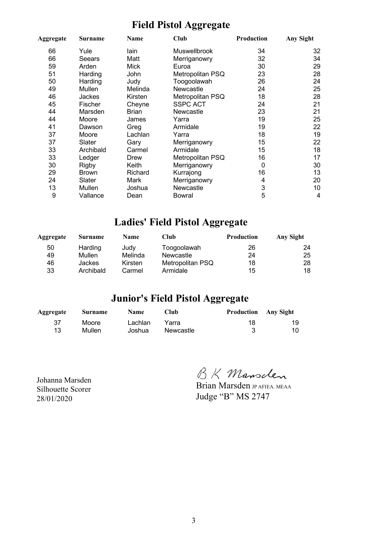### **Field Pistol Aggregate**

| Aggregate | Surname       | Name         | Club             | Production | <b>Any Sight</b> |
|-----------|---------------|--------------|------------------|------------|------------------|
| 66        | Yule          | lain         | Muswellbrook     | 34         | 32               |
| 66        | Seears        | Matt         | Merriganowry     | 32         | 34               |
| 59        | Arden         | Mick         | Euroa            | 30         | 29               |
| 51        | Harding       | John         | Metropolitan PSQ | 23         | 28               |
| 50        | Harding       | Judy         | Toogoolawah      | 26         | 24               |
| 49        | Mullen        | Melinda      | Newcastle        | 24         | 25               |
| 46        | <b>Jackes</b> | Kirsten      | Metropolitan PSQ | 18         | 28               |
| 45        | Fischer       | Cheyne       | <b>SSPC ACT</b>  | 24         | 21               |
| 44        | Marsden       | <b>Brian</b> | Newcastle        | 23         | 21               |
| 44        | Moore         | James        | Yarra            | 19         | 25               |
| 41        | Dawson        | Greg         | Armidale         | 19         | 22               |
| 37        | Moore         | Lachlan      | Yarra            | 18         | 19               |
| 37        | Slater        | Gary         | Merriganowry     | 15         | 22               |
| 33        | Archibald     | Carmel       | Armidale         | 15         | 18               |
| 33        | Ledger        | Drew         | Metropolitan PSQ | 16         | 17               |
| 30        | <b>Rigby</b>  | Keith        | Merriganowry     | 0          | 30               |
| 29        | <b>Brown</b>  | Richard      | Kurrajong        | 16         | 13               |
| 24        | Slater        | Mark         | Merriganowry     | 4          | 20               |
| 13        | Mullen        | Joshua       | Newcastle        | 3          | 10               |
| 9         | Vallance      | Dean         | Bowral           | 5          | 4                |

### **Ladies' Field Pistol Aggregate**

| Aggregate | <b>Surname</b> | <b>Name</b> | Club             | <b>Production</b> | Any Sight |
|-----------|----------------|-------------|------------------|-------------------|-----------|
| 50        | Harding        | Judv        | Toogoolawah      | 26                | 24        |
| 49        | Mullen         | Melinda     | Newcastle        | 24                | 25        |
| 46        | Jackes         | Kirsten     | Metropolitan PSQ | 18                | 28        |
| 33        | Archibald      | Carmel      | Armidale         | 15                | 18        |

### **Junior's Field Pistol Aggregate**

| Aggregate | Surname | Club<br><b>Name</b> |           | <b>Production</b> Any Sight |    |
|-----------|---------|---------------------|-----------|-----------------------------|----|
| -37       | Moore   | Lachlan             | Yarra     | 18                          | 19 |
| 13        | Mullen  | Joshua              | Newcastle | 3                           | 10 |

Johanna Marsden Silhouette Scorer 28/01/2020

BK Mansclen

Brian Marsden JP AFIEA. MEAA Judge "B" MS 2747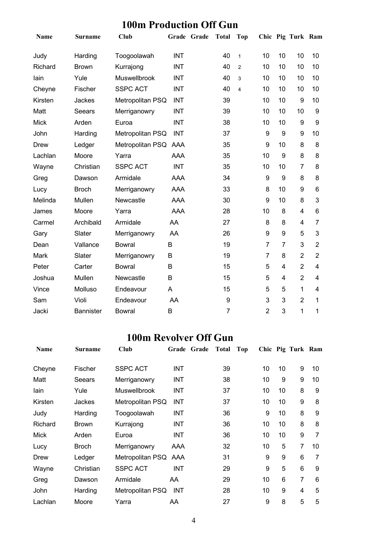### **100m Production Off Gun**

| Name        | <b>Surname</b>   | <b>Club</b>          | Grade Grade | <b>Total</b>   | Top                     |                |                | Chic Pig Turk Ram |                         |
|-------------|------------------|----------------------|-------------|----------------|-------------------------|----------------|----------------|-------------------|-------------------------|
| Judy        | Harding          | Toogoolawah          | <b>INT</b>  | 40             | $\mathbf{1}$            | 10             | 10             | 10                | 10                      |
| Richard     | <b>Brown</b>     | Kurrajong            | <b>INT</b>  | 40             | $\overline{2}$          | 10             | 10             | 10                | 10                      |
| lain        | Yule             | Muswellbrook         | <b>INT</b>  | 40             | 3                       | 10             | 10             | 10                | 10                      |
| Cheyne      | Fischer          | <b>SSPC ACT</b>      | <b>INT</b>  | 40             | $\overline{\mathbf{4}}$ | 10             | 10             | 10                | 10                      |
| Kirsten     | Jackes           | Metropolitan PSQ     | <b>INT</b>  | 39             |                         | 10             | 10             | 9                 | 10                      |
| Matt        | Seears           | Merriganowry         | <b>INT</b>  | 39             |                         | 10             | 10             | 10                | 9                       |
| <b>Mick</b> | Arden            | Euroa                | <b>INT</b>  | 38             |                         | 10             | 10             | 9                 | 9                       |
| John        | Harding          | Metropolitan PSQ     | <b>INT</b>  | 37             |                         | 9              | 9              | 9                 | 10                      |
| <b>Drew</b> | Ledger           | Metropolitan PSQ AAA |             | 35             |                         | 9              | 10             | 8                 | 8                       |
| Lachlan     | Moore            | Yarra                | <b>AAA</b>  | 35             |                         | 10             | 9              | 8                 | 8                       |
| Wayne       | Christian        | <b>SSPC ACT</b>      | <b>INT</b>  | 35             |                         | 10             | 10             | $\overline{7}$    | 8                       |
| Greg        | Dawson           | Armidale             | <b>AAA</b>  | 34             |                         | 9              | 9              | 8                 | 8                       |
| Lucy        | <b>Broch</b>     | Merriganowry         | <b>AAA</b>  | 33             |                         | 8              | 10             | 9                 | 6                       |
| Melinda     | Mullen           | Newcastle            | <b>AAA</b>  | 30             |                         | 9              | 10             | 8                 | 3                       |
| James       | Moore            | Yarra                | <b>AAA</b>  | 28             |                         | 10             | 8              | $\overline{4}$    | 6                       |
| Carmel      | Archibald        | Armidale             | AA          | 27             |                         | 8              | 8              | $\overline{4}$    | $\overline{7}$          |
| Gary        | Slater           | Merriganowry         | AA          | 26             |                         | 9              | 9              | 5                 | 3                       |
| Dean        | Vallance         | <b>Bowral</b>        | B           | 19             |                         | $\overline{7}$ | $\overline{7}$ | 3                 | $\overline{2}$          |
| Mark        | Slater           | Merriganowry         | B           | 19             |                         | 7              | 8              | $\overline{2}$    | $\overline{2}$          |
| Peter       | Carter           | <b>Bowral</b>        | B           | 15             |                         | 5              | 4              | $\overline{2}$    | 4                       |
| Joshua      | Mullen           | Newcastle            | B           | 15             |                         | 5              | $\overline{4}$ | $\overline{2}$    | $\overline{\mathbf{4}}$ |
| Vince       | Molluso          | Endeavour            | A           | 15             |                         | 5              | 5              | 1                 | 4                       |
| Sam         | Violi            | Endeavour            | AA          | 9              |                         | 3              | 3              | $\overline{2}$    | 1                       |
| Jacki       | <b>Bannister</b> | <b>Bowral</b>        | В           | $\overline{7}$ |                         | $\overline{2}$ | 3              | 1                 | 1                       |

### **100m Revolver Off Gun**

| <b>Name</b> | Surname      | Club                 |            | Grade Grade | <b>Total</b> | Top |    |    | Chic Pig Turk Ram |    |
|-------------|--------------|----------------------|------------|-------------|--------------|-----|----|----|-------------------|----|
| Cheyne      | Fischer      | <b>SSPC ACT</b>      | <b>INT</b> |             | 39           |     | 10 | 10 | 9                 | 10 |
| Matt        | Seears       | Merriganowry         | INT        |             | 38           |     | 10 | 9  | 9                 | 10 |
| lain        | Yule         | <b>Muswellbrook</b>  | <b>INT</b> |             | 37           |     | 10 | 10 | 8                 | 9  |
| Kirsten     | Jackes       | Metropolitan PSQ     | INT        |             | 37           |     | 10 | 10 | 9                 | 8  |
| Judy        | Harding      | Toogoolawah          | <b>INT</b> |             | 36           |     | 9  | 10 | 8                 | 9  |
| Richard     | <b>Brown</b> | Kurrajong            | INT        |             | 36           |     | 10 | 10 | 8                 | 8  |
| <b>Mick</b> | Arden        | Euroa                | INT        |             | 36           |     | 10 | 10 | 9                 | 7  |
| Lucy        | <b>Broch</b> | Merriganowry         | AAA        |             | 32           |     | 10 | 5  | 7                 | 10 |
| Drew        | Ledger       | Metropolitan PSQ AAA |            |             | 31           |     | 9  | 9  | 6                 | 7  |
| Wayne       | Christian    | <b>SSPC ACT</b>      | INT        |             | 29           |     | 9  | 5  | 6                 | 9  |
| Greg        | Dawson       | Armidale             | AA.        |             | 29           |     | 10 | 6  | 7                 | 6  |
| John        | Harding      | Metropolitan PSQ     | <b>INT</b> |             | 28           |     | 10 | 9  | 4                 | 5  |
| Lachlan     | Moore        | Yarra                | AA         |             | 27           |     | 9  | 8  | 5                 | 5  |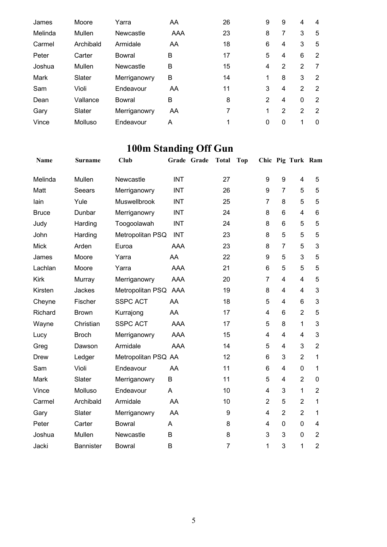| James   | Moore     | Yarra        | AA  | 26 | 9 | 9 | 4             | 4             |
|---------|-----------|--------------|-----|----|---|---|---------------|---------------|
| Melinda | Mullen    | Newcastle    | AAA | 23 | 8 | 7 | 3             | 5             |
| Carmel  | Archibald | Armidale     | AA  | 18 | 6 | 4 | 3             | 5             |
| Peter   | Carter    | Bowral       | в   | 17 | 5 | 4 | 6             | 2             |
| Joshua  | Mullen    | Newcastle    | в   | 15 | 4 | 2 | 2             |               |
| Mark    | Slater    | Merriganowry | в   | 14 | 1 | 8 | 3             | 2             |
| Sam     | Violi     | Endeavour    | AA  | 11 | 3 | 4 | $\mathcal{P}$ | $\mathcal{P}$ |
| Dean    | Vallance  | Bowral       | B   | 8  | 2 | 4 | $\mathbf{0}$  | 2             |
| Gary    | Slater    | Merriganowry | AA  | 7  | 1 | 2 | 2             | 2             |
| Vince   | Molluso   | Endeavour    | A   |    | 0 | 0 |               | 0             |

## **100m Standing Off Gun**

| Name         | <b>Surname</b>   | <b>Club</b>         |            | Grade Grade | <b>Total</b>   | <b>Top</b> |                |                | Chic Pig Turk Ram |                |
|--------------|------------------|---------------------|------------|-------------|----------------|------------|----------------|----------------|-------------------|----------------|
| Melinda      | Mullen           | Newcastle           | <b>INT</b> |             | 27             |            | 9              | 9              | 4                 | 5              |
| Matt         | Seears           | Merriganowry        | <b>INT</b> |             | 26             |            | 9              | $\overline{7}$ | 5                 | 5              |
| lain         | Yule             | Muswellbrook        | <b>INT</b> |             | 25             |            | 7              | 8              | 5                 | 5              |
| <b>Bruce</b> | Dunbar           | Merriganowry        | <b>INT</b> |             | 24             |            | 8              | 6              | 4                 | 6              |
| Judy         | Harding          | Toogoolawah         | <b>INT</b> |             | 24             |            | 8              | 6              | 5                 | 5              |
| John         | Harding          | Metropolitan PSQ    | <b>INT</b> |             | 23             |            | 8              | 5              | 5                 | 5              |
| <b>Mick</b>  | Arden            | Euroa               | AAA        |             | 23             |            | 8              | $\overline{7}$ | 5                 | 3              |
| James        | Moore            | Yarra               | AA         |             | 22             |            | 9              | 5              | 3                 | 5              |
| Lachlan      | Moore            | Yarra               | AAA        |             | 21             |            | 6              | 5              | 5                 | 5              |
| <b>Kirk</b>  | Murray           | Merriganowry        | <b>AAA</b> |             | 20             |            | 7              | 4              | 4                 | 5              |
| Kirsten      | Jackes           | Metropolitan PSQ    | AAA        |             | 19             |            | 8              | 4              | 4                 | 3              |
| Cheyne       | Fischer          | <b>SSPC ACT</b>     | AA         |             | 18             |            | 5              | 4              | 6                 | 3              |
| Richard      | <b>Brown</b>     | Kurrajong           | AA         |             | 17             |            | 4              | 6              | $\overline{2}$    | 5              |
| Wayne        | Christian        | <b>SSPC ACT</b>     | AAA        |             | 17             |            | 5              | 8              | $\mathbf{1}$      | 3              |
| Lucy         | <b>Broch</b>     | Merriganowry        | <b>AAA</b> |             | 15             |            | 4              | 4              | 4                 | 3              |
| Greg         | Dawson           | Armidale            | AAA        |             | 14             |            | 5              | 4              | 3                 | $\overline{2}$ |
| Drew         | Ledger           | Metropolitan PSQ AA |            |             | 12             |            | 6              | 3              | $\overline{2}$    | 1              |
| Sam          | Violi            | Endeavour           | AA         |             | 11             |            | 6              | 4              | $\overline{0}$    | 1              |
| <b>Mark</b>  | Slater           | Merriganowry        | B          |             | 11             |            | 5              | 4              | $\overline{2}$    | 0              |
| Vince        | Molluso          | Endeavour           | A          |             | 10             |            | 4              | 3              | $\mathbf{1}$      | $\overline{2}$ |
| Carmel       | Archibald        | Armidale            | AA         |             | 10             |            | $\overline{2}$ | 5              | $\overline{2}$    | 1              |
| Gary         | Slater           | Merriganowry        | AA         |             | 9              |            | 4              | $\overline{2}$ | $\overline{2}$    | 1              |
| Peter        | Carter           | <b>Bowral</b>       | Α          |             | 8              |            | 4              | 0              | 0                 | 4              |
| Joshua       | Mullen           | Newcastle           | B          |             | 8              |            | 3              | 3              | $\overline{0}$    | $\overline{2}$ |
| Jacki        | <b>Bannister</b> | <b>Bowral</b>       | B          |             | $\overline{7}$ |            | 1              | 3              | 1                 | $\overline{2}$ |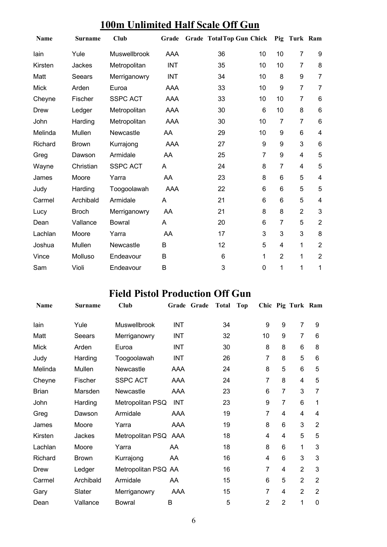### **100m Unlimited Half Scale Off Gun**

| <b>Name</b> | <b>Surname</b> | <b>Club</b>     | Grade      | <b>Grade TotalTop Gun Chick</b> |             |                | Pig Turk Ram   |                         |
|-------------|----------------|-----------------|------------|---------------------------------|-------------|----------------|----------------|-------------------------|
| lain        | Yule           | Muswellbrook    | <b>AAA</b> | 36                              | 10          | 10             | 7              | 9                       |
| Kirsten     | Jackes         | Metropolitan    | <b>INT</b> | 35                              | 10          | 10             | $\overline{7}$ | 8                       |
| Matt        | Seears         | Merriganowry    | <b>INT</b> | 34                              | 10          | 8              | 9              | $\overline{7}$          |
| <b>Mick</b> | Arden          | Euroa           | AAA        | 33                              | 10          | 9              | $\overline{7}$ | $\overline{7}$          |
| Cheyne      | Fischer        | <b>SSPC ACT</b> | AAA        | 33                              | 10          | 10             | 7              | 6                       |
| Drew        | Ledger         | Metropolitan    | AAA        | 30                              | 6           | 10             | 8              | 6                       |
| John        | Harding        | Metropolitan    | AAA        | 30                              | 10          | 7              | 7              | $6\phantom{1}6$         |
| Melinda     | Mullen         | Newcastle       | AA         | 29                              | 10          | 9              | 6              | $\overline{\mathbf{4}}$ |
| Richard     | <b>Brown</b>   | Kurrajong       | AAA        | 27                              | 9           | 9              | 3              | 6                       |
| Greg        | Dawson         | Armidale        | AA         | 25                              | 7           | 9              | 4              | 5                       |
| Wayne       | Christian      | <b>SSPC ACT</b> | A          | 24                              | 8           | $\overline{7}$ | 4              | 5                       |
| James       | Moore          | Yarra           | AA         | 23                              | 8           | 6              | 5              | $\overline{4}$          |
| Judy        | Harding        | Toogoolawah     | <b>AAA</b> | 22                              | 6           | 6              | 5              | 5                       |
| Carmel      | Archibald      | Armidale        | A          | 21                              | 6           | 6              | 5              | $\overline{\mathbf{4}}$ |
| Lucy        | <b>Broch</b>   | Merriganowry    | AA         | 21                              | 8           | 8              | $\overline{2}$ | 3                       |
| Dean        | Vallance       | <b>Bowral</b>   | A          | 20                              | 6           | 7              | 5              | $\overline{2}$          |
| Lachlan     | Moore          | Yarra           | AA         | 17                              | 3           | 3              | 3              | 8                       |
| Joshua      | Mullen         | Newcastle       | B          | 12                              | 5           | 4              | 1              | $\overline{2}$          |
| Vince       | Molluso        | Endeavour       | B          | 6                               | 1           | $\overline{2}$ | 1              | $\overline{2}$          |
| Sam         | Violi          | Endeavour       | B          | 3                               | $\mathbf 0$ | 1              | 1              | 1                       |

### **Field Pistol Production Off Gun**

| <b>Name</b>  | <b>Surname</b> | Club                 | Grade      | Grade | <b>Total</b> | <b>Top</b> |                |                | Chic Pig Turk Ram |                |
|--------------|----------------|----------------------|------------|-------|--------------|------------|----------------|----------------|-------------------|----------------|
| lain         | Yule           | <b>Muswellbrook</b>  | <b>INT</b> |       | 34           |            | 9              | 9              | $\overline{7}$    | 9              |
| Matt         | Seears         | Merriganowry         | <b>INT</b> |       | 32           |            | 10             | 9              | $\overline{7}$    | 6              |
| <b>Mick</b>  | Arden          | Euroa                | INT        |       | 30           |            | 8              | 8              | 6                 | 8              |
| Judy         | Harding        | Toogoolawah          | INT        |       | 26           |            | 7              | 8              | 5                 | 6              |
| Melinda      | Mullen         | Newcastle            | AAA        |       | 24           |            | 8              | 5              | 6                 | 5              |
| Cheyne       | Fischer        | <b>SSPC ACT</b>      | AAA        |       | 24           |            | 7              | 8              | 4                 | 5              |
| <b>Brian</b> | Marsden        | Newcastle            | AAA        |       | 23           |            | 6              | 7              | 3                 | 7              |
| John         | Harding        | Metropolitan PSQ     | <b>INT</b> |       | 23           |            | 9              | 7              | 6                 | 1              |
| Greg         | Dawson         | Armidale             | AAA        |       | 19           |            | 7              | 4              | 4                 | 4              |
| James        | Moore          | Yarra                | AAA        |       | 19           |            | 8              | 6              | 3                 | $\overline{2}$ |
| Kirsten      | Jackes         | Metropolitan PSQ AAA |            |       | 18           |            | 4              | 4              | 5                 | 5              |
| Lachlan      | Moore          | Yarra                | AA         |       | 18           |            | 8              | 6              | 1                 | 3              |
| Richard      | <b>Brown</b>   | Kurrajong            | AA         |       | 16           |            | 4              | 6              | 3                 | 3              |
| Drew         | Ledger         | Metropolitan PSQ AA  |            |       | 16           |            | 7              | 4              | $\overline{2}$    | 3              |
| Carmel       | Archibald      | Armidale             | AA         |       | 15           |            | 6              | 5              | $\overline{2}$    | 2              |
| Gary         | Slater         | Merriganowry         | AAA        |       | 15           |            | 7              | 4              | $\overline{2}$    | $\overline{2}$ |
| Dean         | Vallance       | <b>Bowral</b>        | B          |       | 5            |            | $\overline{2}$ | $\overline{2}$ | 1                 | 0              |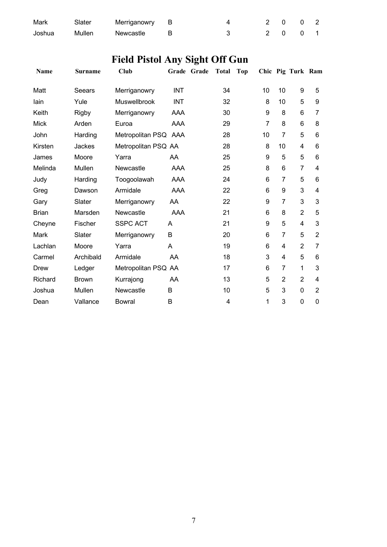| Mark   | Slater | Merriganowry B |  | 2 0 0 2 |  |
|--------|--------|----------------|--|---------|--|
| Joshua | Mullen | Newcastle      |  | 2 0 0 1 |  |

# **Field Pistol Any Sight Off Gun**

| Name         | <b>Surname</b> | <b>Club</b>          |            | Grade Grade | <b>Total</b> | <b>Top</b> |                |                | Chic Pig Turk Ram |                |
|--------------|----------------|----------------------|------------|-------------|--------------|------------|----------------|----------------|-------------------|----------------|
| Matt         | Seears         | Merriganowry         | <b>INT</b> |             | 34           |            | 10             | 10             | 9                 | 5              |
| lain         | Yule           | <b>Muswellbrook</b>  | <b>INT</b> |             | 32           |            | 8              | 10             | 5                 | 9              |
| Keith        | <b>Rigby</b>   | Merriganowry         | AAA        |             | 30           |            | 9              | 8              | 6                 | 7              |
| <b>Mick</b>  | Arden          | Euroa                | AAA        |             | 29           |            | $\overline{7}$ | 8              | 6                 | 8              |
| John         | Harding        | Metropolitan PSQ AAA |            |             | 28           |            | 10             | 7              | 5                 | 6              |
| Kirsten      | Jackes         | Metropolitan PSQ AA  |            |             | 28           |            | 8              | 10             | 4                 | 6              |
| James        | Moore          | Yarra                | AA         |             | 25           |            | 9              | 5              | 5                 | 6              |
| Melinda      | Mullen         | Newcastle            | AAA        |             | 25           |            | 8              | 6              | $\overline{7}$    | $\overline{4}$ |
| Judy         | Harding        | Toogoolawah          | <b>AAA</b> |             | 24           |            | 6              | $\overline{7}$ | 5                 | 6              |
| Greg         | Dawson         | Armidale             | <b>AAA</b> |             | 22           |            | 6              | 9              | 3                 | 4              |
| Gary         | Slater         | Merriganowry         | AA         |             | 22           |            | 9              | 7              | 3                 | 3              |
| <b>Brian</b> | Marsden        | Newcastle            | AAA        |             | 21           |            | 6              | 8              | $\overline{2}$    | 5              |
| Cheyne       | Fischer        | <b>SSPC ACT</b>      | A          |             | 21           |            | 9              | 5              | 4                 | 3              |
| Mark         | Slater         | Merriganowry         | B          |             | 20           |            | 6              | 7              | 5                 | $\overline{2}$ |
| Lachlan      | Moore          | Yarra                | A          |             | 19           |            | 6              | 4              | $\overline{2}$    | 7              |
| Carmel       | Archibald      | Armidale             | AA         |             | 18           |            | 3              | 4              | 5                 | 6              |
| Drew         | Ledger         | Metropolitan PSQ AA  |            |             | 17           |            | 6              | $\overline{7}$ | 1                 | 3              |
| Richard      | <b>Brown</b>   | Kurrajong            | AA         |             | 13           |            | 5              | $\overline{2}$ | $\overline{2}$    | 4              |
| Joshua       | Mullen         | Newcastle            | B          |             | 10           |            | 5              | 3              | 0                 | $\overline{2}$ |
| Dean         | Vallance       | <b>Bowral</b>        | B          |             | 4            |            | 1              | 3              | 0                 | 0              |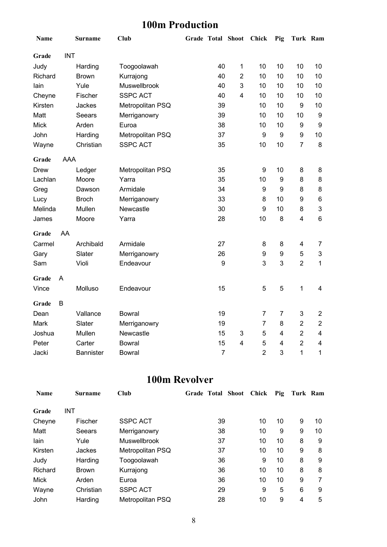### **100m Production**

| Name        |            | <b>Surname</b>   | <b>Club</b>      |                  | Grade Total Shoot Chick |                | Pig                     | Turk Ram                |                |
|-------------|------------|------------------|------------------|------------------|-------------------------|----------------|-------------------------|-------------------------|----------------|
| Grade       | <b>INT</b> |                  |                  |                  |                         |                |                         |                         |                |
| Judy        |            | Harding          | Toogoolawah      | 40               | $\mathbf{1}$            | 10             | 10                      | 10                      | 10             |
| Richard     |            | <b>Brown</b>     | Kurrajong        | 40               | $\overline{2}$          | 10             | 10                      | 10                      | 10             |
| lain        |            | Yule             | Muswellbrook     | 40               | 3                       | 10             | 10                      | 10                      | 10             |
| Cheyne      |            | Fischer          | <b>SSPC ACT</b>  | 40               | $\overline{4}$          | 10             | 10                      | 10                      | 10             |
| Kirsten     |            | Jackes           | Metropolitan PSQ | 39               |                         | 10             | 10                      | 9                       | 10             |
| Matt        |            | Seears           | Merriganowry     | 39               |                         | 10             | 10                      | 10                      | 9              |
| <b>Mick</b> |            | Arden            | Euroa            | 38               |                         | 10             | 10                      | 9                       | 9              |
| John        |            | Harding          | Metropolitan PSQ | 37               |                         | 9              | 9                       | 9                       | 10             |
| Wayne       |            | Christian        | <b>SSPC ACT</b>  | 35               |                         | 10             | 10                      | $\overline{7}$          | 8              |
| Grade       | <b>AAA</b> |                  |                  |                  |                         |                |                         |                         |                |
| Drew        |            | Ledger           | Metropolitan PSQ | 35               |                         | 9              | 10                      | 8                       | 8              |
| Lachlan     |            | Moore            | Yarra            | 35               |                         | 10             | $\boldsymbol{9}$        | 8                       | 8              |
| Greg        |            | Dawson           | Armidale         | 34               |                         | 9              | $\boldsymbol{9}$        | 8                       | 8              |
| Lucy        |            | <b>Broch</b>     | Merriganowry     | 33               |                         | 8              | 10                      | 9                       | 6              |
| Melinda     |            | Mullen           | Newcastle        | 30               |                         | 9              | 10                      | 8                       | 3              |
| James       |            | Moore            | Yarra            | 28               |                         | 10             | 8                       | $\overline{\mathbf{4}}$ | 6              |
| Grade       | AA         |                  |                  |                  |                         |                |                         |                         |                |
| Carmel      |            | Archibald        | Armidale         | 27               |                         | 8              | 8                       | $\overline{\mathbf{4}}$ | $\overline{7}$ |
| Gary        |            | Slater           | Merriganowry     | 26               |                         | 9              | 9                       | 5                       | 3              |
| Sam         |            | Violi            | Endeavour        | $\boldsymbol{9}$ |                         | 3              | 3                       | $\overline{2}$          | 1              |
| Grade       | A          |                  |                  |                  |                         |                |                         |                         |                |
| Vince       |            | Molluso          | Endeavour        | 15               |                         | 5              | 5                       | $\mathbf 1$             | 4              |
| Grade       | B          |                  |                  |                  |                         |                |                         |                         |                |
| Dean        |            | Vallance         | <b>Bowral</b>    | 19               |                         | $\overline{7}$ | 7                       | 3                       | $\overline{2}$ |
| Mark        |            | Slater           | Merriganowry     | 19               |                         | 7              | 8                       | $\overline{2}$          | $\overline{2}$ |
| Joshua      |            | Mullen           | Newcastle        | 15               | 3                       | 5              | $\overline{4}$          | $\overline{2}$          | 4              |
| Peter       |            | Carter           | <b>Bowral</b>    | 15               | $\overline{\mathbf{4}}$ | 5              | $\overline{\mathbf{4}}$ | $\overline{2}$          | 4              |
| Jacki       |            | <b>Bannister</b> | <b>Bowral</b>    | $\overline{7}$   |                         | $\overline{2}$ | 3                       | $\mathbf{1}$            | 1              |

### **100m Revolver**

| <b>Name</b> | <b>Surname</b> | Club             | <b>Grade Total Shoot</b> |    | Chick | Pig | Turk Ram |    |
|-------------|----------------|------------------|--------------------------|----|-------|-----|----------|----|
| Grade       | <b>INT</b>     |                  |                          |    |       |     |          |    |
| Cheyne      | Fischer        | <b>SSPC ACT</b>  |                          | 39 | 10    | 10  | 9        | 10 |
| Matt        | Seears         | Merriganowry     |                          | 38 | 10    | 9   | 9        | 10 |
| lain        | Yule           | Muswellbrook     |                          | 37 | 10    | 10  | 8        | 9  |
| Kirsten     | Jackes         | Metropolitan PSQ |                          | 37 | 10    | 10  | 9        | 8  |
| Judy        | Harding        | Toogoolawah      |                          | 36 | 9     | 10  | 8        | 9  |
| Richard     | <b>Brown</b>   | Kurrajong        |                          | 36 | 10    | 10  | 8        | 8  |
| <b>Mick</b> | Arden          | Euroa            |                          | 36 | 10    | 10  | 9        |    |
| Wayne       | Christian      | <b>SSPC ACT</b>  |                          | 29 | 9     | 5   | 6        | 9  |
| John        | Harding        | Metropolitan PSQ |                          | 28 | 10    | 9   | 4        | 5  |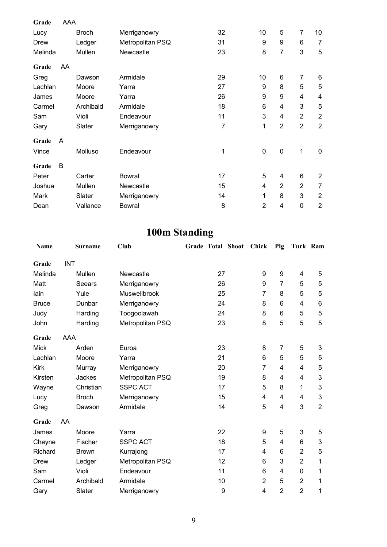| Grade   | AAA |              |                  |    |                |                |                |                         |
|---------|-----|--------------|------------------|----|----------------|----------------|----------------|-------------------------|
| Lucy    |     | <b>Broch</b> | Merriganowry     | 32 | 10             | 5              | $\overline{7}$ | 10                      |
| Drew    |     | Ledger       | Metropolitan PSQ | 31 | 9              | 9              | 6              | $\overline{7}$          |
| Melinda |     | Mullen       | Newcastle        | 23 | 8              | 7              | 3              | 5                       |
| Grade   | AA  |              |                  |    |                |                |                |                         |
| Greg    |     | Dawson       | Armidale         | 29 | 10             | 6              | $\overline{7}$ | 6                       |
| Lachlan |     | Moore        | Yarra            | 27 | 9              | 8              | 5              | $\mathbf 5$             |
| James   |     | Moore        | Yarra            | 26 | 9              | 9              | 4              | $\overline{\mathbf{4}}$ |
| Carmel  |     | Archibald    | Armidale         | 18 | 6              | 4              | 3              | 5                       |
| Sam     |     | Violi        | Endeavour        | 11 | 3              | 4              | $\overline{2}$ | $\overline{2}$          |
| Gary    |     | Slater       | Merriganowry     | 7  | 1              | $\overline{2}$ | $\overline{2}$ | $\overline{2}$          |
| Grade   | A   |              |                  |    |                |                |                |                         |
| Vince   |     | Molluso      | Endeavour        | 1  | $\mathbf 0$    | $\mathbf 0$    | $\mathbf 1$    | $\mathbf 0$             |
| Grade   | B   |              |                  |    |                |                |                |                         |
| Peter   |     | Carter       | <b>Bowral</b>    | 17 | 5              | 4              | 6              | $\overline{2}$          |
| Joshua  |     | Mullen       | Newcastle        | 15 | 4              | $\overline{2}$ | $\overline{2}$ | 7                       |
| Mark    |     | Slater       | Merriganowry     | 14 | 1              | 8              | 3              | $\overline{2}$          |
| Dean    |     | Vallance     | Bowral           | 8  | $\overline{2}$ | 4              | $\mathbf 0$    | $\overline{2}$          |

# **100m Standing**

| <b>Name</b>  |            | <b>Surname</b> | Club                | Grade Total Shoot |    | Chick          | Pig            | Turk Ram       |                |
|--------------|------------|----------------|---------------------|-------------------|----|----------------|----------------|----------------|----------------|
| Grade        | <b>INT</b> |                |                     |                   |    |                |                |                |                |
| Melinda      |            | Mullen         | Newcastle           |                   | 27 | 9              | 9              | 4              | 5              |
| Matt         |            | Seears         | Merriganowry        |                   | 26 | 9              | $\overline{7}$ | 5              | 5              |
| lain         |            | Yule           | <b>Muswellbrook</b> |                   | 25 | 7              | 8              | 5              | 5              |
| <b>Bruce</b> |            | Dunbar         | Merriganowry        |                   | 24 | 8              | 6              | 4              | $\,6$          |
| Judy         |            | Harding        | Toogoolawah         |                   | 24 | 8              | 6              | 5              | 5              |
| John         |            | Harding        | Metropolitan PSQ    |                   | 23 | 8              | 5              | 5              | 5              |
| Grade        | AAA        |                |                     |                   |    |                |                |                |                |
| <b>Mick</b>  |            | Arden          | Euroa               |                   | 23 | 8              | 7              | 5              | $\mathbf{3}$   |
| Lachlan      |            | Moore          | Yarra               |                   | 21 | 6              | 5              | 5              | 5              |
| <b>Kirk</b>  |            | Murray         | Merriganowry        |                   | 20 | $\overline{7}$ | 4              | 4              | $\mathbf 5$    |
| Kirsten      |            | Jackes         | Metropolitan PSQ    |                   | 19 | 8              | 4              | 4              | $\mathbf{3}$   |
| Wayne        |            | Christian      | <b>SSPC ACT</b>     |                   | 17 | 5              | 8              | 1              | 3              |
| Lucy         |            | <b>Broch</b>   | Merriganowry        |                   | 15 | 4              | 4              | 4              | $\mathbf{3}$   |
| Greg         |            | Dawson         | Armidale            |                   | 14 | 5              | 4              | 3              | $\overline{2}$ |
| Grade        | AA         |                |                     |                   |    |                |                |                |                |
| James        |            | Moore          | Yarra               |                   | 22 | 9              | 5              | 3              | 5              |
| Cheyne       |            | Fischer        | <b>SSPC ACT</b>     |                   | 18 | 5              | 4              | 6              | $\mathbf{3}$   |
| Richard      |            | <b>Brown</b>   | Kurrajong           |                   | 17 | 4              | 6              | $\overline{2}$ | 5              |
| Drew         |            | Ledger         | Metropolitan PSQ    |                   | 12 | 6              | 3              | $\overline{2}$ | 1              |
| Sam          |            | Violi          | Endeavour           |                   | 11 | 6              | 4              | $\pmb{0}$      | 1              |
| Carmel       |            | Archibald      | Armidale            |                   | 10 | $\overline{2}$ | 5              | $\overline{2}$ | 1              |
| Gary         |            | Slater         | Merriganowry        |                   | 9  | 4              | $\overline{2}$ | $\overline{2}$ | 1              |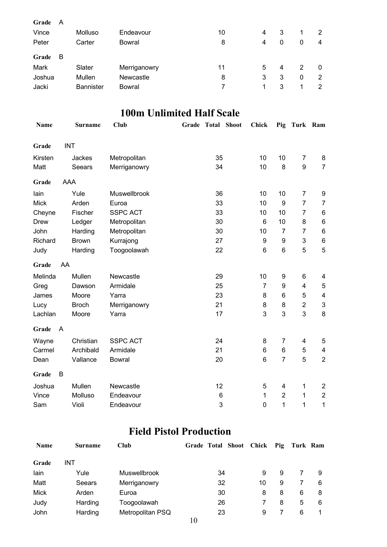| Grade<br>A<br>Vince<br>Peter          | Molluso<br>Carter                    | Endeavour<br>Bowral                 | 10<br>8 | 4<br>4 | 3<br>0      | 0      | 2<br>4                 |
|---------------------------------------|--------------------------------------|-------------------------------------|---------|--------|-------------|--------|------------------------|
| Grade<br>В<br>Mark<br>Joshua<br>Jacki | Slater<br>Mullen<br><b>Bannister</b> | Merriganowry<br>Newcastle<br>Bowral | 11<br>8 | 5<br>3 | 4<br>3<br>3 | 2<br>0 | $\mathbf{0}$<br>2<br>2 |

### **100m Unlimited Half Scale**

| Name        | <b>Surname</b> | <b>Club</b>     | <b>Grade Total Shoot</b> | <b>Chick</b> | Pig            | Turk Ram       |                           |
|-------------|----------------|-----------------|--------------------------|--------------|----------------|----------------|---------------------------|
| Grade       | <b>INT</b>     |                 |                          |              |                |                |                           |
| Kirsten     | Jackes         | Metropolitan    | 35                       | 10           | 10             | $\overline{7}$ | 8                         |
| Matt        | Seears         | Merriganowry    | 34                       | 10           | 8              | 9              | $\overline{7}$            |
| Grade       | AAA            |                 |                          |              |                |                |                           |
| lain        | Yule           | Muswellbrook    | 36                       | 10           | 10             | $\overline{7}$ | 9                         |
| <b>Mick</b> | Arden          | Euroa           | 33                       | 10           | 9              | $\overline{7}$ | $\overline{7}$            |
| Cheyne      | Fischer        | <b>SSPC ACT</b> | 33                       | 10           | 10             | $\overline{7}$ | 6                         |
| <b>Drew</b> | Ledger         | Metropolitan    | 30                       | 6            | 10             | 8              | $\,6\,$                   |
| John        | Harding        | Metropolitan    | 30                       | 10           | $\overline{7}$ | 7              | $\,6$                     |
| Richard     | <b>Brown</b>   | Kurrajong       | 27                       | 9            | 9              | 3              | $\,6$                     |
| Judy        | Harding        | Toogoolawah     | 22                       | 6            | 6              | 5              | 5                         |
| Grade       | AA             |                 |                          |              |                |                |                           |
| Melinda     | Mullen         | Newcastle       | 29                       | 10           | 9              | 6              | 4                         |
| Greg        | Dawson         | Armidale        | 25                       | 7            | 9              | 4              | 5                         |
| James       | Moore          | Yarra           | 23                       | 8            | 6              | 5              | $\overline{\mathbf{4}}$   |
| Lucy        | <b>Broch</b>   | Merriganowry    | 21                       | 8            | 8              | $\overline{2}$ | $\ensuremath{\mathsf{3}}$ |
| Lachlan     | Moore          | Yarra           | 17                       | 3            | 3              | 3              | 8                         |
| Grade       | $\overline{A}$ |                 |                          |              |                |                |                           |
| Wayne       | Christian      | <b>SSPC ACT</b> | 24                       | 8            | 7              | 4              | 5                         |
| Carmel      | Archibald      | Armidale        | 21                       | 6            | 6              | 5              | $\overline{\mathbf{4}}$   |
| Dean        | Vallance       | <b>Bowral</b>   | 20                       | $\,6$        | $\overline{7}$ | 5              | $\overline{2}$            |
| Grade       | B              |                 |                          |              |                |                |                           |
| Joshua      | Mullen         | Newcastle       | 12                       | 5            | 4              | 1              | $\overline{c}$            |
| Vince       | Molluso        | Endeavour       | 6                        | 1            | $\overline{2}$ | 1              | $\overline{c}$            |
| Sam         | Violi          | Endeavour       | 3                        | $\mathbf 0$  | 1              | 1              | 1                         |

### **Field Pistol Production**

| <b>Name</b> | <b>Surname</b> | Club             |        | Grade Total Shoot Chick |    | Pig | Turk Ram |   |
|-------------|----------------|------------------|--------|-------------------------|----|-----|----------|---|
| Grade       | INT            |                  |        |                         |    |     |          |   |
| lain        | Yule           | Muswellbrook     |        | 34                      | 9  | 9   |          | 9 |
| Matt        | Seears         | Merriganowry     |        | 32                      | 10 | 9   |          | 6 |
| <b>Mick</b> | Arden          | Euroa            |        | 30                      | 8  | 8   | 6        | 8 |
| Judy        | Harding        | Toogoolawah      |        | 26                      |    | 8   | 5        | 6 |
| John        | Harding        | Metropolitan PSQ | $\sim$ | 23                      | 9  |     | 6        |   |